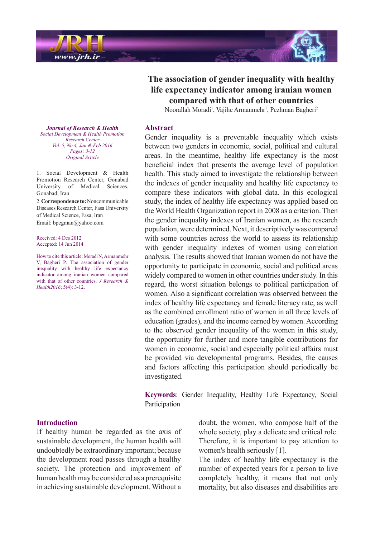

# **The association of gender inequality with healthy life expectancy indicator among iranian women** compared with that of other countries

Noorallah Moradi<sup>1</sup>, Vajihe Armanmehr<sup>1</sup>, Pezhman Bagheri<sup>2</sup>

#### **Abstract**

*Journal of Research & Health Promotion Health & Development Social Center Research Vol.* 5, No.4, Jan & Feb 2016 *3-12 :Pages Article Original*

1. Social Development  $\&$  Health Promotion Research Center, Gonabad University of Medical Sciences,

2. Correspondence to: Noncommunicable Diseases Research Center, Fasa University

How to cite this article: Moradi N, Armanmehr V, Bagheri P. The association of gender inequality with healthy life expectancy indicator among iranian women compared with that of other countries. *J Research &* 

of Medical Science, Fasa, Iran Email: bpegman@vahoo.com

Gonabad, Iran

Received: 4 Des 2012 Accepted: 14 Jun 2014

*Health2016*; 5(4): 3-12.

Gender inequality is a preventable inequality which exists between two genders in economic, social, political and cultural areas. In the meantime, healthy life expectancy is the most beneficial index that presents the average level of population health. This study aimed to investigate the relationship between the indexes of gender inequality and healthy life expectancy to compare these indicators with global data. In this ecological study, the index of healthy life expectancy was applied based on the World Health Organization report in 2008 as a criterion. Then the gender inequality indexes of Iranian women, as the research population, were determined. Next, it descriptively was compared with some countries across the world to assess its relationship with gender inequality indexes of women using correlation analysis. The results showed that Iranian women do not have the opportunity to participate in economic, social and political areas widely compared to women in other countries under study. In this regard, the worst situation belongs to political participation of women. Also a significant correlation was observed between the index of healthy life expectancy and female literacy rate, as well as the combined enrollment ratio of women in all three levels of education (grades), and the income earned by women. According to the observed gender inequality of the women in this study, the opportunity for further and more tangible contributions for women in economic, social and especially political affairs must be provided via developmental programs. Besides, the causes and factors affecting this participation should periodically be .investigated

Keywords: Gender Inequality, Healthy Life Expectancy, Social **Participation** 

### **Introduction**

If healthy human be regarded as the axis of sustainable development, the human health will undoubtedly be extraordinary important; because the development road passes through a healthy society. The protection and improvement of human health may be considered as a prerequisite in achieving sustainable development. Without a doubt, the women, who compose half of the whole society, play a delicate and critical role. Therefore, it is important to pay attention to women's health seriously [1].

The index of healthy life expectancy is the number of expected years for a person to live completely healthy, it means that not only mortality, but also diseases and disabilities are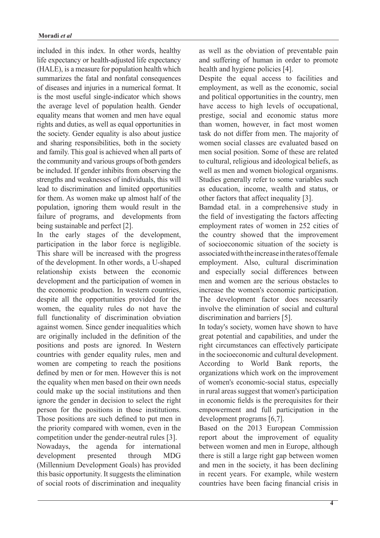included in this index. In other words, healthy life expectancy or health-adjusted life expectancy  $(HALE)$ , is a measure for population health which summarizes the fatal and nonfatal consequences of diseases and injuries in a numerical format. It is the most useful single-indicator which shows the average level of population health. Gender equality means that women and men have equal rights and duties, as well as equal opportunities in the society. Gender equality is also about justice and sharing responsibilities, both in the society and family. This goal is achieved when all parts of the community and various groups of both genders be included. If gender inhibits from observing the strengths and weaknesses of individuals, this will lead to discrimination and limited opportunities for them. As women make up almost half of the population, ignoring them would result in the failure of programs, and developments from being sustainable and perfect  $[2]$ .

In the early stages of the development. participation in the labor force is negligible. This share will be increased with the progress of the development. In other words, a U-shaped relationship exists between the economic development and the participation of women in the economic production. In western countries, despite all the opportunities provided for the women, the equality rules do not have the full functionality of discrimination obviation against women. Since gender inequalities which are originally included in the definition of the positions and posts are ignored. In Western countries with gender equality rules, men and women are competing to reach the positions defined by men or for men. However this is not the equality when men based on their own needs could make up the social institutions and then ignore the gender in decision to select the right person for the positions in those institutions. Those positions are such defined to put men in the priority compared with women, even in the competition under the gender-neutral rules [3]. Nowadays, the agenda for international development presented through MDG (Millennium Development Goals) has provided this basic opportunity. It suggests the elimination of social roots of discrimination and inequality as well as the obviation of preventable pain and suffering of human in order to promote health and hygiene policies [4].

Despite the equal access to facilities and employment, as well as the economic, social and political opportunities in the country, men have access to high levels of occupational, prestige, social and economic status more than women, however, in fact most women task do not differ from men. The majority of women social classes are evaluated based on men social position. Some of these are related to cultural, religious and ideological beliefs, as well as men and women biological organisms. Studies generally refer to some variables such as education, income, wealth and status, or other factors that affect inequality  $[3]$ .

Bamdad etal. in a comprehensive study in the field of investigating the factors affecting employment rates of women in 252 cities of the country showed that the improvement of socioeconomic situation of the society is associated with the increase in the rates of female employment. Also, cultural discrimination and especially social differences between men and women are the serious obstacles to increase the women's economic participation. The development factor does necessarily involve the elimination of social and cultural discrimination and barriers [5].

In today's society, women have shown to have great potential and capabilities, and under the right circumstances can effectively participate in the socioeconomic and cultural development. According to World Bank reports, the organizations which work on the improvement of women's economic-social status, especially in rural areas suggest that women's participation in economic fields is the prerequisites for their empowerment and full participation in the development programs  $[6,7]$ .

Based on the 2013 European Commission report about the improvement of equality between women and men in Europe, although there is still a large right gap between women and men in the society, it has been declining in recent years. For example, while western countries have been facing financial crisis in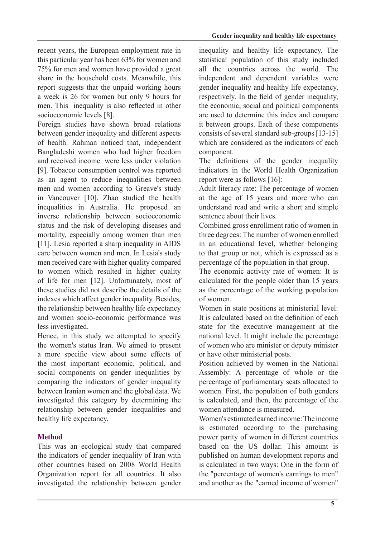recent years, the European employment rate in this particular year has been 63% for women and 75% for men and women have provided a great share in the household costs. Meanwhile, this report suggests that the unpaid working hours a week is 26 for women but only 9 hours for men. This inequality is also reflected in other socioeconomic levels [8].

Foreign studies have shown broad relations between gender inequality and different aspects of health. Rahman noticed that, independent Bangladeshi women who had higher freedom and received income were less under violation [9]. Tobacco consumption control was reported as an agent to reduce inequalities between men and women according to Greave's study in Vancouver [10]. Zhao studied the health inequalities in Australia. He proposed an inverse relationship between socioeconomic status and the risk of developing diseases and mortality, especially among women than men  $[11]$ . Lesia reported a sharp inequality in AIDS care between women and men. In Lesia's study men received care with higher quality compared to women which resulted in higher quality of life for men [12]. Unfortunately, most of these studies did not describe the details of the indexes which affect gender inequality. Besides, the relationship between healthy life expectancy and women socio-economic performance was less investigated.

Hence, in this study we attempted to specify the women's status Iran. We aimed to present a more specific view about some effects of the most important economic, political, and social components on gender inequalities by comparing the indicators of gender inequality between Iranian women and the global data. We investigated this category by determining the relationship between gender inequalities and healthy life expectancy.

# **Method**

This was an ecological study that compared the indicators of gender inequality of Iran with other countries based on 2008 World Health Organization report for all countries. It also investigated the relationship between gender inequality and healthy life expectancy. The statistical population of this study included all the countries across the world. The independent and dependent variables were gender inequality and healthy life expectancy, respectively. In the field of gender inequality, the economic, social and political components are used to determine this index and compare it between groups. Each of these components consists of several standard sub-groups  $[13-15]$ which are considered as the indicators of each .component

The definitions of the gender inequality indicators in the World Health Organization report were as follows  $[16]$ :

Adult literacy rate: The percentage of women at the age of 15 years and more who can understand read and write a short and simple sentence about their lives.

Combined gross enrollment ratio of women in three degrees: The number of women enrolled in an educational level, whether belonging to that group or not, which is expressed as a percentage of the population in that group.

The economic activity rate of women: It is calculated for the people older than 15 years as the percentage of the working population of women

Women in state positions at ministerial level: It is calculated based on the definition of each state for the executive management at the national level. It might include the percentage of women who are minister or deputy minister or have other ministerial posts.

Position achieved by women in the National Assembly: A percentage of whole or the percentage of parliamentary seats allocated to women. First, the population of both genders is calculated, and then, the percentage of the women attendance is measured.

Women's estimated earned income The income is estimated according to the purchasing power parity of women in different countries based on the US dollar. This amount is published on human development reports and is calculated in two ways: One in the form of the "percentage of women's earnings to men" and another as the "earned income of women"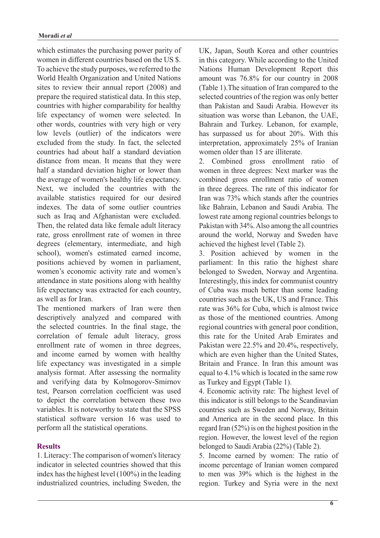which estimates the purchasing power parity of women in different countries based on the US \$. To achieve the study purposes, we referred to the World Health Organization and United Nations sites to review their annual report  $(2008)$  and prepare the required statistical data. In this step, countries with higher comparability for healthy life expectancy of women were selected. In other words, countries with very high or very low levels (outlier) of the indicators were excluded from the study. In fact, the selected countries had about half a standard deviation distance from mean. It means that they were half a standard deviation higher or lower than the average of women's healthy life expectancy. Next, we included the countries with the available statistics required for our desired indexes. The data of some outlier countries such as Iraq and Afghanistan were excluded. Then, the related data like female adult literacy rate, gross enrollment rate of women in three degrees (elementary, intermediate, and high school), women's estimated earned income, positions achieved by women in parliament, women's economic activity rate and women's attendance in state positions along with healthy life expectancy was extracted for each country, as well as for Iran

The mentioned markers of Iran were then descriptively analyzed and compared with the selected countries. In the final stage, the correlation of female adult literacy, gross enrollment rate of women in three degrees, and income earned by women with healthy life expectancy was investigated in a simple analysis format. After assessing the normality and verifying data by Kolmogorov-Smirnov test. Pearson correlation coefficient was used to depict the correlation between these two variables. It is noteworthy to state that the SPSS statistical software version 16 was used to perform all the statistical operations.

# **Results**

1. Literacy: The comparison of women's literacy indicator in selected countries showed that this index has the highest level  $(100\%)$  in the leading industrialized countries, including Sweden, the UK, Japan, South Korea and other countries in this category. While according to the United Nations Human Development Report this amount was  $76.8\%$  for our country in  $2008$  $(Table 1)$ . The situation of Iran compared to the. selected countries of the region was only better than Pakistan and Saudi Arabia. However its situation was worse than Lebanon, the UAE, Bahrain and Turkey. Lebanon, for example, has surpassed us for about 20%. With this interpretation, approximately 25% of Iranian women older than 15 are illiterate.

2. Combined gross enrollment ratio of women in three degrees: Next marker was the combined gross enrollment ratio of women in three degrees. The rate of this indicator for Iran was 73% which stands after the countries like Bahrain, Lebanon and Saudi Arabia. The lowest rate among regional countries belongs to Pakistan with 34%. Also among the all countries around the world. Norway and Sweden have achieved the highest level (Table 2).

3. Position achieved by women in the parliament: In this ratio the highest share belonged to Sweden, Norway and Argentina. Interestingly, this index for communist country of Cuba was much better than some leading countries such as the UK. US and France. This rate was 36% for Cuba, which is almost twice as those of the mentioned countries. Among regional countries with general poor condition, this rate for the United Arab Emirates and Pakistan were  $22.5\%$  and  $20.4\%$ , respectively, which are even higher than the United States, Britain and France. In Iran this amount was equal to  $4.1\%$  which is located in the same row as Turkey and Egypt (Table 1).

4. Economic activity rate: The highest level of this indicator is still belongs to the Scandinavian countries such as Sweden and Norway, Britain and America are in the second place. In this regard Iran  $(52\%)$  is on the highest position in the region. However, the lowest level of the region belonged to Saudi Arabia  $(22%)$  (Table 2).

5. Income earned by women: The ratio of income percentage of Iranian women compared to men was  $39%$  which is the highest in the region. Turkey and Syria were in the next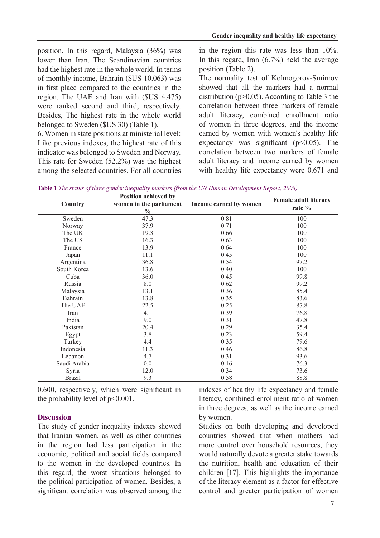position. In this regard, Malaysia  $(36\%)$  was lower than Iran. The Scandinavian countries had the highest rate in the whole world. In terms of monthly income, Bahrain (\$US 10.063) was in first place compared to the countries in the region. The UAE and Iran with  $(SUS 4.475)$ were ranked second and third, respectively. Besides. The highest rate in the whole world belonged to Sweden (\$US 30) (Table 1).

6. Women in state positions at ministerial level: Like previous indexes, the highest rate of this indicator was belonged to Sweden and Norway. This rate for Sweden  $(52.2%)$  was the highest among the selected countries. For all countries

in the region this rate was less than  $10\%$ . In this regard, Iran  $(6.7\%)$  held the average position (Table 2).

The normality test of Kolmogorov-Smirnov showed that all the markers had a normal distribution ( $p > 0.05$ ). According to Table 3 the correlation between three markers of female adult literacy, combined enrollment ratio of women in three degrees, and the income earned by women with women's healthy life expectancy was significant  $(p<0.05)$ . The correlation between two markers of female adult literacy and income earned by women with healthy life expectancy were  $0.671$  and

|               | Position achieved by                     |                        | <b>Female adult literacy</b><br>rate % |  |  |
|---------------|------------------------------------------|------------------------|----------------------------------------|--|--|
| Country       | women in the parliament<br>$\frac{0}{0}$ | Income earned by women |                                        |  |  |
| Sweden        | 47.3                                     | 0.81                   | 100                                    |  |  |
| Norway        | 37.9                                     | 0.71                   | 100                                    |  |  |
| The UK        | 19.3                                     | 0.66                   | 100                                    |  |  |
| The US        | 16.3                                     | 0.63                   | 100                                    |  |  |
| France        | 13.9                                     | 0.64                   | 100                                    |  |  |
| Japan         | 11.1                                     | 0.45                   | 100                                    |  |  |
| Argentina     | 36.8                                     | 0.54                   | 97.2                                   |  |  |
| South Korea   | 13.6                                     | 0.40                   | 100                                    |  |  |
| Cuba          | 36.0                                     | 0.45                   | 99.8                                   |  |  |
| Russia        | 8.0                                      | 0.62                   | 99.2                                   |  |  |
| Malaysia      | 13.1                                     | 0.36                   | 85.4                                   |  |  |
| Bahrain       | 13.8                                     | 0.35                   | 83.6                                   |  |  |
| The UAE       | 22.5                                     | 0.25                   | 87.8                                   |  |  |
| Iran          | 4.1                                      | 0.39                   | 76.8                                   |  |  |
| India         | 9.0                                      | 0.31                   | 47.8                                   |  |  |
| Pakistan      | 20.4                                     | 0.29                   | 35.4                                   |  |  |
| Egypt         | 3.8                                      | 0.23                   | 59.4                                   |  |  |
| Turkey        | 4.4                                      | 0.35                   | 79.6                                   |  |  |
| Indonesia     | 11.3                                     | 0.46                   | 86.8                                   |  |  |
| Lebanon       | 4.7                                      | 0.31                   | 93.6                                   |  |  |
| Saudi Arabia  | 0.0                                      | 0.16                   | 76.3                                   |  |  |
| Syria         | 12.0                                     | 0.34                   | 73.6                                   |  |  |
| <b>Brazil</b> | 9.3                                      | 0.58                   | 88.8                                   |  |  |

**Table 1** The status of three gender inequality markers (from the UN Human Development Report, 2008)

 $0.600$ , respectively, which were significant in the probability level of  $p \le 0.001$ .

# **Discussion**

The study of gender inequality indexes showed that Iranian women, as well as other countries in the region had less participation in the economic, political and social fields compared to the women in the developed countries. In this regard, the worst situations belonged to the political participation of women. Besides, a significant correlation was observed among the

indexes of healthy life expectancy and female literacy, combined enrollment ratio of women in three degrees, as well as the income earned by women.

Studies on both developing and developed countries showed that when mothers had more control over household resources, they would naturally devote a greater stake towards the nutrition, health and education of their children  $[17]$ . This highlights the importance of the literacy element as a factor for effective control and greater participation of women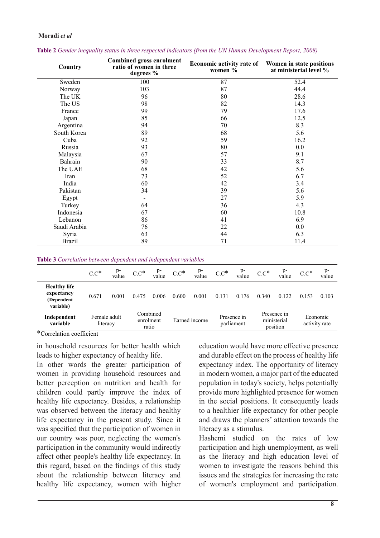| Country       | <b>Combined gross enrolment</b><br>ratio of women in three<br>degrees % | <b>Economic activity rate of</b><br>women $\%$ | Women in state positions<br>at ministerial level %<br>52.4 |  |  |
|---------------|-------------------------------------------------------------------------|------------------------------------------------|------------------------------------------------------------|--|--|
| Sweden        | 100                                                                     | 87                                             |                                                            |  |  |
| Norway        | 103                                                                     | 87                                             | 44.4                                                       |  |  |
| The UK        | 96                                                                      | 80                                             | 28.6                                                       |  |  |
| The US        | 98                                                                      | 82                                             | 14.3                                                       |  |  |
| France        | 99                                                                      | 79                                             | 17.6                                                       |  |  |
| Japan         | 85                                                                      | 66                                             | 12.5                                                       |  |  |
| Argentina     | 94                                                                      | 70                                             | 8.3                                                        |  |  |
| South Korea   | 89                                                                      | 68                                             | 5.6                                                        |  |  |
| Cuba          | 92                                                                      | 59                                             | 16.2                                                       |  |  |
| Russia        | 93                                                                      | 80                                             | 0.0                                                        |  |  |
| Malaysia      | 67                                                                      | 57                                             | 9.1                                                        |  |  |
| Bahrain       | 90                                                                      | 33                                             | 8.7                                                        |  |  |
| The UAE       | 68                                                                      | 42                                             | 5.6                                                        |  |  |
| Iran          | 73                                                                      | 52                                             | 6.7                                                        |  |  |
| India         | 60                                                                      | 42                                             | 3.4                                                        |  |  |
| Pakistan      | 34                                                                      | 39                                             | 5.6                                                        |  |  |
| Egypt         | $\qquad \qquad \blacksquare$                                            | 27                                             | 5.9                                                        |  |  |
| Turkey        | 64                                                                      | 36                                             | 4.3                                                        |  |  |
| Indonesia     | 67                                                                      | 60                                             | 10.8                                                       |  |  |
| Lebanon       | 86                                                                      | 41                                             | 6.9                                                        |  |  |
| Saudi Arabia  | 76                                                                      | 22                                             | 0.0                                                        |  |  |
| Syria         | 63                                                                      | 44                                             | 6.3                                                        |  |  |
| <b>Brazil</b> | 89                                                                      | 71                                             | 11.4                                                       |  |  |

# **Moradi** et al

| Table 2 Gender inequality status in three respected indicators (from the UN Human Development Report, 2008) |  |  |  |  |
|-------------------------------------------------------------------------------------------------------------|--|--|--|--|
|-------------------------------------------------------------------------------------------------------------|--|--|--|--|

**Table 3** Correlation between dependent and independent variables

|                                                              | $C.C^*$                            | $p-$<br>value | $C.C^*$                        | p-<br>value | $C.C^*$       | $p-$<br>value | $C.C^*$                   | $P^-$<br>value | $C.C^*$                                | value | $C.C^*$                   | p-<br>value |
|--------------------------------------------------------------|------------------------------------|---------------|--------------------------------|-------------|---------------|---------------|---------------------------|----------------|----------------------------------------|-------|---------------------------|-------------|
| <b>Healthy life</b><br>expectancy<br>(Dependent<br>variable) | 0.671                              | 0.001         | 0.475                          | 0.006       | 0.600         | 0.001         | 0.131                     | 0.176          | 0.340                                  | 0.122 | 0.153                     | 0.103       |
| Independent<br>variable<br>$\frac{d}{dx}$ and $\frac{d}{dx}$ | Female adult<br>literacy<br>$\sim$ |               | Combined<br>enrolment<br>ratio |             | Earned income |               | Presence in<br>parliament |                | Presence in<br>ministerial<br>position |       | Economic<br>activity rate |             |

 $*$ Correlation coefficient

in household resources for better health which leads to higher expectancy of healthy life.

In other words the greater participation of women in providing household resources and better perception on nutrition and health for children could partly improve the index of healthy life expectancy. Besides, a relationship was observed between the literacy and healthy life expectancy in the present study. Since it was specified that the participation of women in our country was poor, neglecting the women's participation in the community would indirectly affect other people's healthy life expectancy. In this regard, based on the findings of this study about the relationship between literacy and healthy life expectancy, women with higher

education would have more effective presence and durable effect on the process of healthy life expectancy index. The opportunity of literacy in modern women, a major part of the educated population in today's society, helps potentially provide more highlighted presence for women in the social positions. It consequently leads to a healthier life expectancy for other people and draws the planners' attention towards the literacy as a stimulus

Hashemi studied on the rates of low participation and high unemployment, as well as the literacy and high education level of women to investigate the reasons behind this issues and the strategies for increasing the rate of women's employment and participation.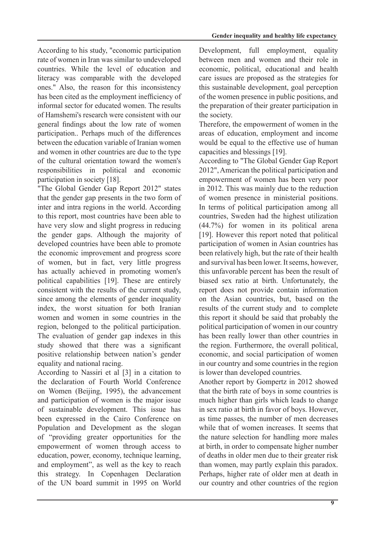According to his study, "economic participation rate of women in Iran was similar to undeveloped countries. While the level of education and literacy was comparable with the developed ones." Also, the reason for this inconsistency has been cited as the employment inefficiency of informal sector for educated women. The results of Hamshemi's research were consistent with our general findings about the low rate of women participation.. Perhaps much of the differences between the education variable of Iranian women and women in other countries are due to the type of the cultural orientation toward the women's responsibilities in political and economic participation in society  $[18]$ .

"The Global Gender Gap Report 2012" states that the gender gap presents in the two form of inter and intra regions in the world. According to this report, most countries have been able to have very slow and slight progress in reducing the gender gaps. Although the majority of developed countries have been able to promote the economic improvement and progress score of women, but in fact, very little progress has actually achieved in promoting women's political capabilities [19]. These are entirely consistent with the results of the current study, since among the elements of gender inequality index, the worst situation for both Iranian women and women in some countries in the region, belonged to the political participation. The evaluation of gender gap indexes in this study showed that there was a significant positive relationship between nation's gender equality and national racing.

According to Nassiri et al  $[3]$  in a citation to the declaration of Fourth World Conference on Women (Beijing, 1995), the advancement and participation of women is the major issue of sustainable development. This issue has been expressed in the Cairo Conference on Population and Development as the slogan of "providing greater opportunities for the empowerment of women through access to education, power, economy, technique learning, and employment", as well as the key to reach this strategy. In Copenhagen Declaration of the UN board summit in 1995 on World Development, full employment, equality between men and women and their role in economic, political, educational and health care issues are proposed as the strategies for this sustainable development, goal perception of the women presence in public positions, and the preparation of their greater participation in the society.

Therefore, the empowerment of women in the areas of education, employment and income would be equal to the effective use of human capacities and blessings [19].

According to "The Global Gender Gap Report 2012", American the political participation and empowerment of women has been very poor in 2012. This was mainly due to the reduction of women presence in ministerial positions. In terms of political participation among all countries, Sweden had the highest utilization  $(44.7\%)$  for women in its political arena  $[19]$ . However this report noted that political participation of women in Asian countries has been relatively high, but the rate of their health and survival has been lower. It seems, however, this unfavorable percent has been the result of biased sex ratio at birth. Unfortunately, the report does not provide contain information on the Asian countries, but, based on the results of the current study and to complete this report it should be said that probably the political participation of women in our country has been really lower than other countries in the region. Furthermore, the overall political, economic, and social participation of women in our country and some countries in the region is lower than developed countries.

Another report by Gompertz in 2012 showed that the birth rate of boys in some countries is much higher than girls which leads to change in sex ratio at birth in favor of boys. However, as time passes, the number of men decreases while that of women increases It seems that the nature selection for handling more males at birth, in order to compensate higher number of deaths in older men due to their greater risk than women, may partly explain this paradox. Perhaps, higher rate of older men at death in our country and other countries of the region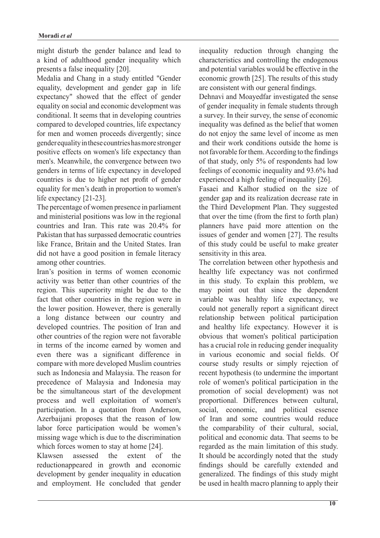might disturb the gender balance and lead to a kind of adulthood gender inequality which presents a false inequality [20].

Medalia and Chang in a study entitled "Gender equality, development and gender gap in life expectancy" showed that the effect of gender equality on social and economic development was conditional. It seems that in developing countries compared to developed countries, life expectancy for men and women proceeds divergently; since gender equality in these countries has more stronger positive effects on women's life expectancy than men's. Meanwhile, the convergence between two genders in terms of life expectancy in developed countries is due to higher net profit of gender equality for men's death in proportion to women's life expectancy  $[21-23]$ .

The percentage of women presence in parliament and ministerial positions was low in the regional countries and Iran. This rate was  $20.4\%$  for Pakistan that has surpassed democratic countries like France, Britain and the United States. Iran did not have a good position in female literacy among other countries.

Iran's position in terms of women economic activity was better than other countries of the region. This superiority might be due to the fact that other countries in the region were in the lower position. However, there is generally a long distance between our country and developed countries. The position of Iran and other countries of the region were not favorable in terms of the income earned by women and even there was a significant difference in compare with more developed Muslim countries such as Indonesia and Malaysia. The reason for precedence of Malaysia and Indonesia may be the simultaneous start of the development process and well exploitation of women's participation. In a quotation from Anderson, Azerbaijani proposes that the reason of low labor force participation would be women's missing wage which is due to the discrimination which forces women to stay at home  $[24]$ .

Klawsen assessed the extent of the reductionappeared in growth and economic development by gender inequality in education and employment. He concluded that gender inequality reduction through changing the characteristics and controlling the endogenous and potential variables would be effective in the economic growth  $[25]$ . The results of this study are consistent with our general findings.

Dehnavi and Moavedfar investigated the sense of gender inequality in female students through a survey. In their survey, the sense of economic inequality was defined as the belief that women do not enjoy the same level of income as men and their work conditions outside the home is not favorable for them. According to the findings of that study, only  $5%$  of respondents had low feelings of economic inequality and 93.6% had experienced a high feeling of inequality  $[26]$ .

Fasaei and Kalhor studied on the size of gender gap and its realization decrease rate in the Third Development Plan. They suggested that over the time (from the first to forth plan) planners have paid more attention on the issues of gender and women [27]. The results of this study could be useful to make greater sensitivity in this area.

The correlation between other hypothesis and healthy life expectancy was not confirmed in this study. To explain this problem, we may point out that since the dependent variable was healthy life expectancy, we could not generally report a significant direct relationship between political participation and healthy life expectancy. However it is obvious that women's political participation has a crucial role in reducing gender inequality in various economic and social fields. Of course study results or simply rejection of recent hypothesis (to undermine the important role of women's political participation in the promotion of social development) was not proportional. Differences between cultural, social, economic, and political essence of Iran and some countries would reduce the comparability of their cultural, social, political and economic data. That seems to be regarded as the main limitation of this study. It should be accordingly noted that the study findings should be carefully extended and generalized. The findings of this study might be used in health macro planning to apply their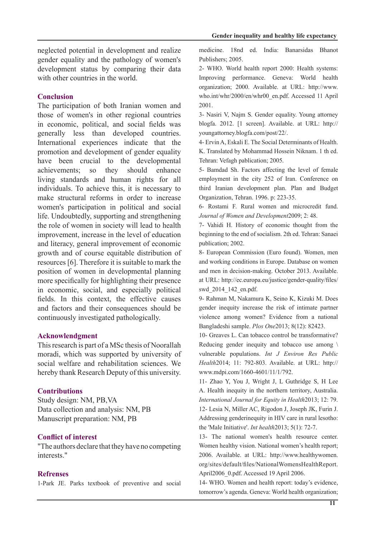neglected potential in development and realize gender equality and the pathology of women's development status by comparing their data with other countries in the world.

### **Conclusion**

The participation of both Iranian women and those of women's in other regional countries in economic, political, and social fields was generally less than developed countries. International experiences indicate that the promotion and development of gender equality have been crucial to the developmental achievements; so they should enhance living standards and human rights for all individuals. To achieve this, it is necessary to make structural reforms in order to increase women's participation in political and social life. Undoubtedly, supporting and strengthening the role of women in society will lead to health improvement, increase in the level of education and literacy, general improvement of economic growth and of course equitable distribution of resources  $[6]$ . Therefore it is suitable to mark the position of women in developmental planning more specifically for highlighting their presence in economic, social, and especially political fields. In this context, the effective causes and factors and their consequences should be continuously investigated pathologically.

### **Acknowlendgment**

This research is part of a MSc thesis of Noorallah moradi, which was supported by university of social welfare and rehabilitation sciences. We hereby thank Research Deputy of this university.

#### **Contributions**

Study design: NM, PB, VA Data collection and analysis: NM, PB Manuscript preparation: NM, PB

### **Conflict of interest**

"The authors declare that they have no competing" interests "

## **Refrenses**

1-Park JE. Parks textbook of preventive and social

medicine. 18nd ed. India: Banarsidas Bhanot Publishers; 2005.

2- WHO. World health report 2000: Health systems: Improving performance. Geneva: World health organization; 2000. Available. at URL: http://www. who.int/whr/2000/en/whr00 en.pdf. Accessed 11 April 2001.

3- Nasiri V, Najm S. Gender equality. Young attorney blogfa. 2012. [1 screen]. Available. at URL: http:// youngattorney.blogfa.com/post/22/.

4- Ervin A, Eskali E. The Social Determinants of Health. K. Translated by Mohammad Hossein Niknam. 1 th ed. Tehran: Vefagh pablication; 2005.

5- Bamdad Sh. Factors affecting the level of female employment in the city 252 of Iran. Conference on third Iranian development plan. Plan and Budget Organization, Tehran. 1996. p: 223-35.

6- Rostami F. Rural women and microcredit fund. Journal of Women and Development 2009; 2: 48.

7- Vahidi H. History of economic thought from the beginning to the end of socialism. 2th ed. Tehran: Sanaei publication: 2002.

8- European Commission (Euro found). Women, men and working conditions in Europe. Database on women and men in decision-making. October 2013. Available. at URL: http://ec.europa.eu/justice/gender-quality/files/ swd 2014 142 en.pdf.

9- Rahman M, Nakamura K, Seino K, Kizuki M. Does gender inequity increase the risk of intimate partner violence among women? Evidence from a national Bangladeshi sample. *Plos One* 2013; 8(12): 82423.

10- Greaves L. Can tobacco control be transformative? Reducing gender inequity and tobacco use among  $\setminus$ *vulnerable populations. Int J Environ Res Public* Health 2014; 11: 792-803. Available. at URL: http:// www.mdpi.com/1660-4601/11/1/792.

11- Zhao Y, You J, Wright J, L Guthridge S, H Lee A. Health inequity in the northern territory, Australia. International Journal for Equity in Health 2013; 12: 79. 12- Lesia N, Miller AC, Rigodon J, Joseph JK, Furin J. Addressing genderinequity in HIV care in rural lesotho: the 'Male Initiative'. *Int health* 2013; 5(1): 72-7.

13- The national women's health resource center. Women healthy vision. National women's health report; 2006. Available. at URL: http://www.healthywomen. org/sites/default/files/NationalWomensHealthReport. April 2006. 0.pdf. Accessed 19 April 2006.

14- WHO. Women and health report: today's evidence, tomorrow's agenda. Geneva: World health organization;